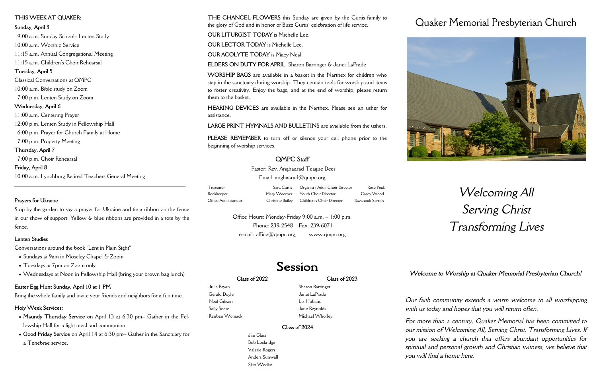### **Class of 2022**

Julia Bryan Gerald Doyle Neal Gibson Sally Sease Reuben Womack **Class of 2023**

Sharon Barringer Janet LaPrade Liz Huband Jane Reynolds Michael Whorley

# **Class of 2024**

Jim Glass Bob Lockridge Valerie Rogers Anders Sunwall Skip Wodke

# Quaker Memorial Presbyterian Church



# *Welcoming All Serving Christ Transforming Lives*

*Our faith community extends a warm welcome to all worshipping with us today and hopes that you will return often.*

*For more than a century, Quaker Memorial has been committed to our mission of Welcoming All, Serving Christ, Transforming Lives. If you are seeking a church that offers abundant opportunities for spiritual and personal growth and Christian witness, we believe that you will find a home here.* 

Pastor: Rev. Anghaarad Teague Dees Email: anghaarad $@$ qmpc.org

Office Hours: Monday-Friday 9:00 a.m. – 1:00 p.m. Phone: 239-2548 Fax: 239-6071  $e$ -mail: office $@$  qmpc.org; www.qmpc.org

# Session

**THE CHANCEL FLOWERS** this Sunday are given by the Curtis family to the glory of God and in honor of Buzz Curtis' celebration of life service.

**OUR LITURGIST TODAY** is Michelle Lee.

**OUR LECTOR TODAY** is Michelle Lee.

**OUR ACOLYTE TODAY** is Macy Neal.

**ELDERS ON DUTY FOR APRIL**: Sharon Barringer & Janet LaPrade

**WORSHIP BAGS** are available in a basket in the Narthex for children who stay in the sanctuary during worship. They contain tools for worship and items to foster creativity. Enjoy the bags, and at the end of worship, please return them to the basket.

**HEARING DEVICES** are available in the Narthex. Please see an usher for assistance.

- Sundays at 9am in Moseley Chapel & Zoom
- Tuesdays at 7pm on Zoom only
- Wednesdays at Noon in Fellowship Hall (bring your brown bag lunch)

**LARGE PRINT HYMNALS AND BULLETINS** are available from the ushers.

**PLEASE REMEMBER** to turn off or silence your cell phone prior to the beginning of worship services.

# **QMPC Staff**

| Treasurer            | Sara Curtis Organist / Adult Choir Director | Rose Peak        |
|----------------------|---------------------------------------------|------------------|
| Bookkeeper           | Mary Woerner Youth Choir Director           | Casey Wood       |
| Office Administrator | Christine Bailey Children's Choir Director  | Savannah Sorrels |

# **THIS WEEK AT QUAKER:**

**Sunday, April 3**

 9:00 a.m. Sunday School– Lenten Study 10:00 a.m. Worship Service 11:15 a.m. Annual Congregational Meeting 11:15 a.m. Children's Choir Rehearsal **Tuesday, April 5** Classical Conversations at QMPC 10:00 a.m. Bible study on Zoom 7:00 p.m. Lenten Study on Zoom **Wednesday, April 6** 11:00 a.m. Centering Prayer 12:00 p.m. Lenten Study in Fellowship Hall 6:00 p.m. Prayer for Church Family at Home 7:00 p.m. Property Meeting **Thursday, April 7**

 7:00 p.m. Choir Rehearsal **Friday, April 8** 10:00 a.m. Lynchburg Retired Teachers General Meeting

## **Prayers for Ukraine**

Stop by the garden to say a prayer for Ukraine and tie a ribbon on the fence in our show of support. Yellow & blue ribbons are provided in a tote by the fence.

# **Lenten Studies**

Conversations around the book "Lent in Plain Sight"

# **Easter Egg Hunt Sunday, April 10 at 1 PM**

Bring the whole family and invite your friends and neighbors for a fun time.

# **Holy Week Services:**

- **Maundy Thursday Service** on April 13 at 6:30 pm– Gather in the Fellowship Hall for a light meal and communion.
- **Good Friday Service** on April 14 at 6:30 pm– Gather in the Sanctuary for a Tenebrae service.

*Welcome to Worship at Quaker Memorial Presbyterian Church!*